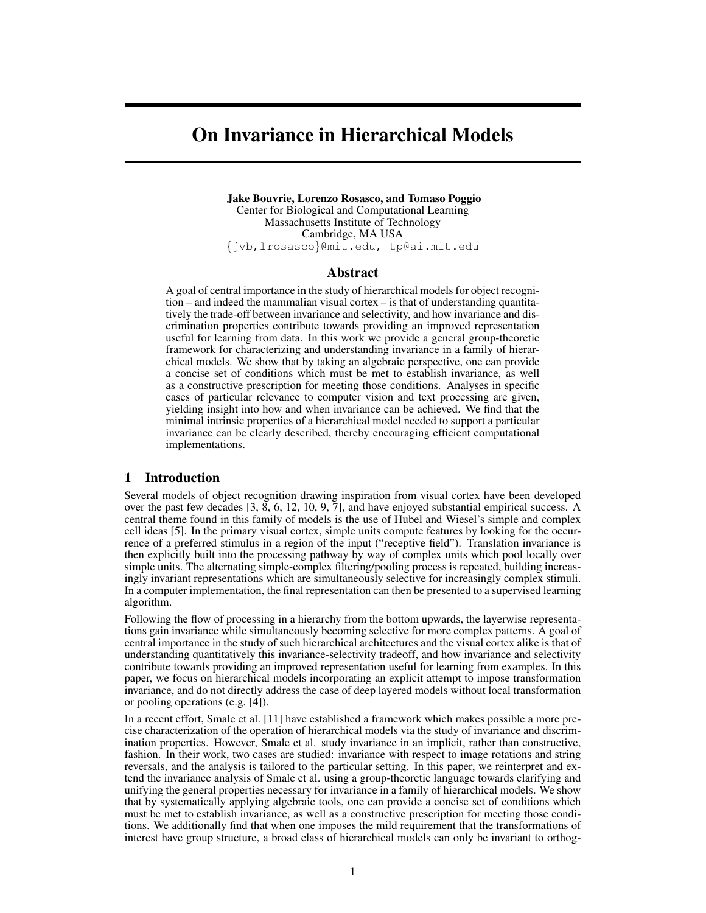# On Invariance in Hierarchical Models

Jake Bouvrie, Lorenzo Rosasco, and Tomaso Poggio Center for Biological and Computational Learning Massachusetts Institute of Technology Cambridge, MA USA {jvb,lrosasco}@mit.edu, tp@ai.mit.edu

## Abstract

A goal of central importance in the study of hierarchical models for object recognition – and indeed the mammalian visual cortex – is that of understanding quantitatively the trade-off between invariance and selectivity, and how invariance and discrimination properties contribute towards providing an improved representation useful for learning from data. In this work we provide a general group-theoretic framework for characterizing and understanding invariance in a family of hierarchical models. We show that by taking an algebraic perspective, one can provide a concise set of conditions which must be met to establish invariance, as well as a constructive prescription for meeting those conditions. Analyses in specific cases of particular relevance to computer vision and text processing are given, yielding insight into how and when invariance can be achieved. We find that the minimal intrinsic properties of a hierarchical model needed to support a particular invariance can be clearly described, thereby encouraging efficient computational implementations.

## 1 Introduction

Several models of object recognition drawing inspiration from visual cortex have been developed over the past few decades  $[3, 8, 6, 12, 10, 9, 7]$ , and have enjoyed substantial empirical success. A central theme found in this family of models is the use of Hubel and Wiesel's simple and complex cell ideas [5]. In the primary visual cortex, simple units compute features by looking for the occurrence of a preferred stimulus in a region of the input ("receptive field"). Translation invariance is then explicitly built into the processing pathway by way of complex units which pool locally over simple units. The alternating simple-complex filtering/pooling process is repeated, building increasingly invariant representations which are simultaneously selective for increasingly complex stimuli. In a computer implementation, the final representation can then be presented to a supervised learning algorithm.

Following the flow of processing in a hierarchy from the bottom upwards, the layerwise representations gain invariance while simultaneously becoming selective for more complex patterns. A goal of central importance in the study of such hierarchical architectures and the visual cortex alike is that of understanding quantitatively this invariance-selectivity tradeoff, and how invariance and selectivity contribute towards providing an improved representation useful for learning from examples. In this paper, we focus on hierarchical models incorporating an explicit attempt to impose transformation invariance, and do not directly address the case of deep layered models without local transformation or pooling operations (e.g. [4]).

In a recent effort, Smale et al. [11] have established a framework which makes possible a more precise characterization of the operation of hierarchical models via the study of invariance and discrimination properties. However, Smale et al. study invariance in an implicit, rather than constructive, fashion. In their work, two cases are studied: invariance with respect to image rotations and string reversals, and the analysis is tailored to the particular setting. In this paper, we reinterpret and extend the invariance analysis of Smale et al. using a group-theoretic language towards clarifying and unifying the general properties necessary for invariance in a family of hierarchical models. We show that by systematically applying algebraic tools, one can provide a concise set of conditions which must be met to establish invariance, as well as a constructive prescription for meeting those conditions. We additionally find that when one imposes the mild requirement that the transformations of interest have group structure, a broad class of hierarchical models can only be invariant to orthog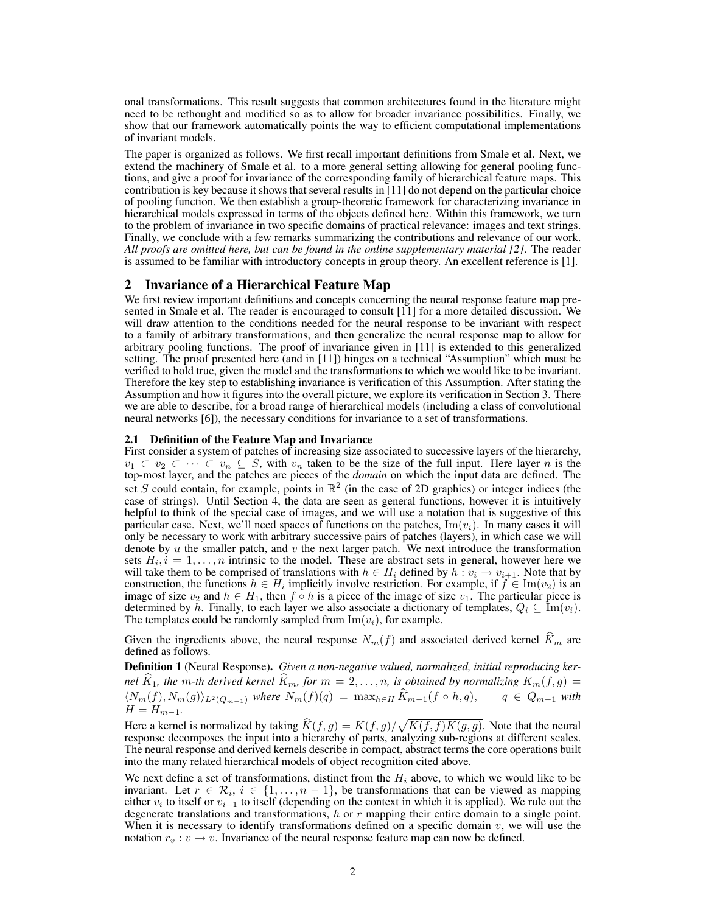onal transformations. This result suggests that common architectures found in the literature might need to be rethought and modified so as to allow for broader invariance possibilities. Finally, we show that our framework automatically points the way to efficient computational implementations of invariant models.

The paper is organized as follows. We first recall important definitions from Smale et al. Next, we extend the machinery of Smale et al. to a more general setting allowing for general pooling functions, and give a proof for invariance of the corresponding family of hierarchical feature maps. This contribution is key because it shows that several results in [11] do not depend on the particular choice of pooling function. We then establish a group-theoretic framework for characterizing invariance in hierarchical models expressed in terms of the objects defined here. Within this framework, we turn to the problem of invariance in two specific domains of practical relevance: images and text strings. Finally, we conclude with a few remarks summarizing the contributions and relevance of our work. *All proofs are omitted here, but can be found in the online supplementary material [2]*. The reader is assumed to be familiar with introductory concepts in group theory. An excellent reference is [1].

## 2 Invariance of a Hierarchical Feature Map

We first review important definitions and concepts concerning the neural response feature map presented in Smale et al. The reader is encouraged to consult [11] for a more detailed discussion. We will draw attention to the conditions needed for the neural response to be invariant with respect to a family of arbitrary transformations, and then generalize the neural response map to allow for arbitrary pooling functions. The proof of invariance given in [11] is extended to this generalized setting. The proof presented here (and in [11]) hinges on a technical "Assumption" which must be verified to hold true, given the model and the transformations to which we would like to be invariant. Therefore the key step to establishing invariance is verification of this Assumption. After stating the Assumption and how it figures into the overall picture, we explore its verification in Section 3. There we are able to describe, for a broad range of hierarchical models (including a class of convolutional neural networks [6]), the necessary conditions for invariance to a set of transformations.

#### 2.1 Definition of the Feature Map and Invariance

First consider a system of patches of increasing size associated to successive layers of the hierarchy,  $v_1 \subset v_2 \subset \cdots \subset v_n \subseteq S$ , with  $v_n$  taken to be the size of the full input. Here layer n is the top-most layer, and the patches are pieces of the *domain* on which the input data are defined. The set S could contain, for example, points in  $\mathbb{R}^2$  (in the case of 2D graphics) or integer indices (the case of strings). Until Section 4, the data are seen as general functions, however it is intuitively helpful to think of the special case of images, and we will use a notation that is suggestive of this particular case. Next, we'll need spaces of functions on the patches,  $\text{Im}(v_i)$ . In many cases it will only be necessary to work with arbitrary successive pairs of patches (layers), in which case we will denote by  $u$  the smaller patch, and  $v$  the next larger patch. We next introduce the transformation sets  $H_i$ ,  $i = 1, \ldots, n$  intrinsic to the model. These are abstract sets in general, however here we will take them to be comprised of translations with  $h \in H_i$  defined by  $h : v_i \to v_{i+1}$ . Note that by construction, the functions  $h \in H_i$  implicitly involve restriction. For example, if  $f \in \text{Im}(v_2)$  is an image of size  $v_2$  and  $h \in H_1$ , then  $f \circ h$  is a piece of the image of size  $v_1$ . The particular piece is determined by h. Finally, to each layer we also associate a dictionary of templates,  $Q_i \subseteq \text{Im}(v_i)$ . The templates could be randomly sampled from  $\text{Im}(v_i)$ , for example.

Given the ingredients above, the neural response  $N_m(f)$  and associated derived kernel  $\widehat{K}_m$  are defined as follows.

Definition 1 (Neural Response). *Given a non-negative valued, normalized, initial reproducing kernel*  $\widehat{K}_1$ *, the* m-th derived kernel  $\widehat{K}_m$ *, for*  $m = 2, \ldots, n$ *, is obtained by normalizing*  $K_m(f, g)$  =  $\langle N_m(f), N_m(g) \rangle_{L^2(Q_{m-1})}$  *where*  $N_m(f)(q) = \max_{h \in H} \widehat{K}_{m-1}(f \circ h, q), \qquad q \in Q_{m-1}$  *with*  $H = H_{m-1}.$ 

Here a kernel is normalized by taking  $\hat{K}(f,g) = K(f,g)/\sqrt{K(f,f)K(g,g)}$ . Note that the neural regnonge decomposes the input into a higheral vector analyzing sub-regions at different scales response decomposes the input into a hierarchy of parts, analyzing sub-regions at different scales. The neural response and derived kernels describe in compact, abstract terms the core operations built into the many related hierarchical models of object recognition cited above.

We next define a set of transformations, distinct from the  $H_i$  above, to which we would like to be invariant. Let  $r \in \mathcal{R}_i$ ,  $i \in \{1, \ldots, n-1\}$ , be transformations that can be viewed as mapping either  $v_i$  to itself or  $v_{i+1}$  to itself (depending on the context in which it is applied). We rule out the degenerate translations and transformations,  $h$  or  $r$  mapping their entire domain to a single point. When it is necessary to identify transformations defined on a specific domain  $v$ , we will use the notation  $r_v : v \to v$ . Invariance of the neural response feature map can now be defined.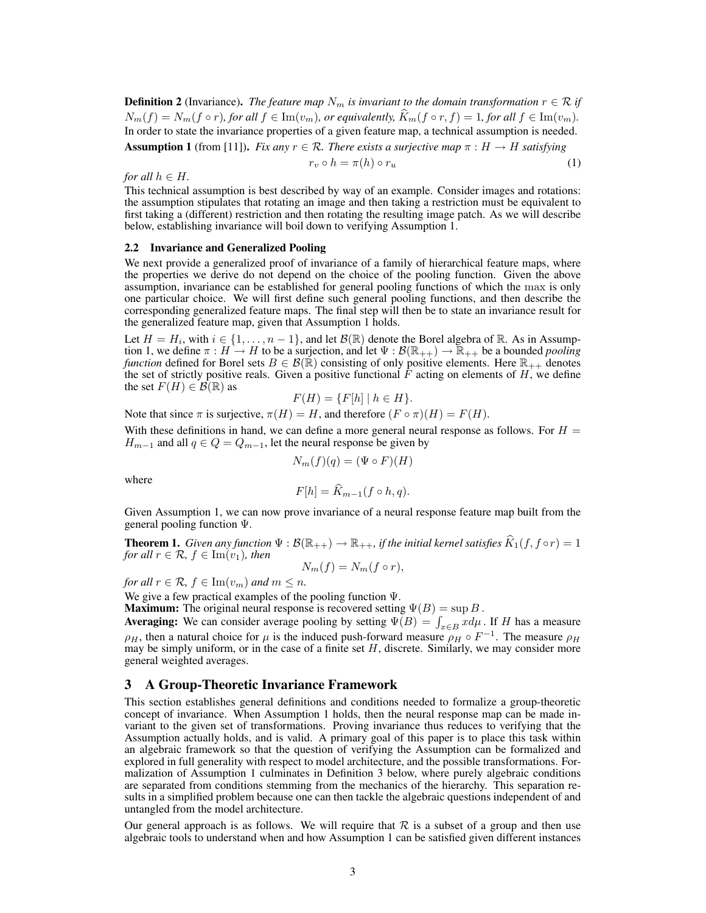**Definition 2** (Invariance). *The feature map*  $N_m$  *is invariant to the domain transformation*  $r \in \mathcal{R}$  *if*  $N_m(f) = N_m(f \circ r)$ , for all  $f \in \text{Im}(v_m)$ , or equivalently,  $\hat{K}_m(f \circ r, f) = 1$ , for all  $f \in \text{Im}(v_m)$ . In order to state the invariance properties of a given feature map, a technical assumption is needed.

**Assumption 1** (from [11]). *Fix any*  $r \in \mathcal{R}$ . *There exists a surjective map*  $\pi : H \to H$  *satisfying* 

$$
r_v \circ h = \pi(h) \circ r_u \tag{1}
$$

*for all*  $h \in H$ *.* 

This technical assumption is best described by way of an example. Consider images and rotations: the assumption stipulates that rotating an image and then taking a restriction must be equivalent to first taking a (different) restriction and then rotating the resulting image patch. As we will describe below, establishing invariance will boil down to verifying Assumption 1.

#### 2.2 Invariance and Generalized Pooling

We next provide a generalized proof of invariance of a family of hierarchical feature maps, where the properties we derive do not depend on the choice of the pooling function. Given the above assumption, invariance can be established for general pooling functions of which the max is only one particular choice. We will first define such general pooling functions, and then describe the corresponding generalized feature maps. The final step will then be to state an invariance result for the generalized feature map, given that Assumption 1 holds.

Let  $H = H_i$ , with  $i \in \{1, ..., n-1\}$ , and let  $\mathcal{B}(\mathbb{R})$  denote the Borel algebra of  $\mathbb{R}$ . As in Assumption 1, we define  $\pi : H \to H$  to be a surjection, and let  $\Psi : \mathcal{B}(\mathbb{R}_{++}) \to \mathbb{R}_{++}$  be a bounded *pooling function* defined for Borel sets  $B \in \mathcal{B}(\mathbb{R})$  consisting of only positive elements. Here  $\mathbb{R}_{++}$  denotes the set of strictly positive reals. Given a positive functional  $\tilde{F}$  acting on elements of H, we define the set  $F(H) \in \mathcal{B}(\mathbb{R})$  as

$$
F(H) = \{F[h] \mid h \in H\}.
$$

Note that since  $\pi$  is surjective,  $\pi(H) = H$ , and therefore  $(F \circ \pi)(H) = F(H)$ .

With these definitions in hand, we can define a more general neural response as follows. For  $H =$  $H_{m-1}$  and all  $q \in Q = Q_{m-1}$ , let the neural response be given by

$$
N_m(f)(q) = (\Psi \circ F)(H)
$$

where

$$
F[h] = K_{m-1}(f \circ h, q).
$$

Given Assumption 1, we can now prove invariance of a neural response feature map built from the general pooling function Ψ.

**Theorem 1.** *Given any function*  $\Psi : \mathcal{B}(\mathbb{R}_{++}) \to \mathbb{R}_{++}$ *, if the initial kernel satisfies*  $\widehat{K}_1(f, f \circ r) = 1$ *for all*  $r \in \mathcal{R}$ *,*  $f \in \text{Im}(v_1)$ *, then* 

$$
N_m(f) = N_m(f \circ r),
$$

*for all*  $r \in \mathcal{R}$ *,*  $f \in \text{Im}(v_m)$  *and*  $m \leq n$ *.* 

We give a few practical examples of the pooling function  $\Psi$ .

**Maximum:** The original neural response is recovered setting  $\Psi(B) = \sup B$ .

**Averaging:** We can consider average pooling by setting  $\Psi(B) = \int_{x \in B} x d\mu$ . If H has a measure  $\rho_H$ , then a natural choice for  $\mu$  is the induced push-forward measure  $\rho_H \circ F^{-1}$ . The measure  $\rho_H$ may be simply uniform, or in the case of a finite set  $H$ , discrete. Similarly, we may consider more general weighted averages.

## 3 A Group-Theoretic Invariance Framework

This section establishes general definitions and conditions needed to formalize a group-theoretic concept of invariance. When Assumption 1 holds, then the neural response map can be made invariant to the given set of transformations. Proving invariance thus reduces to verifying that the Assumption actually holds, and is valid. A primary goal of this paper is to place this task within an algebraic framework so that the question of verifying the Assumption can be formalized and explored in full generality with respect to model architecture, and the possible transformations. Formalization of Assumption 1 culminates in Definition 3 below, where purely algebraic conditions are separated from conditions stemming from the mechanics of the hierarchy. This separation results in a simplified problem because one can then tackle the algebraic questions independent of and untangled from the model architecture.

Our general approach is as follows. We will require that  $\mathcal R$  is a subset of a group and then use algebraic tools to understand when and how Assumption 1 can be satisfied given different instances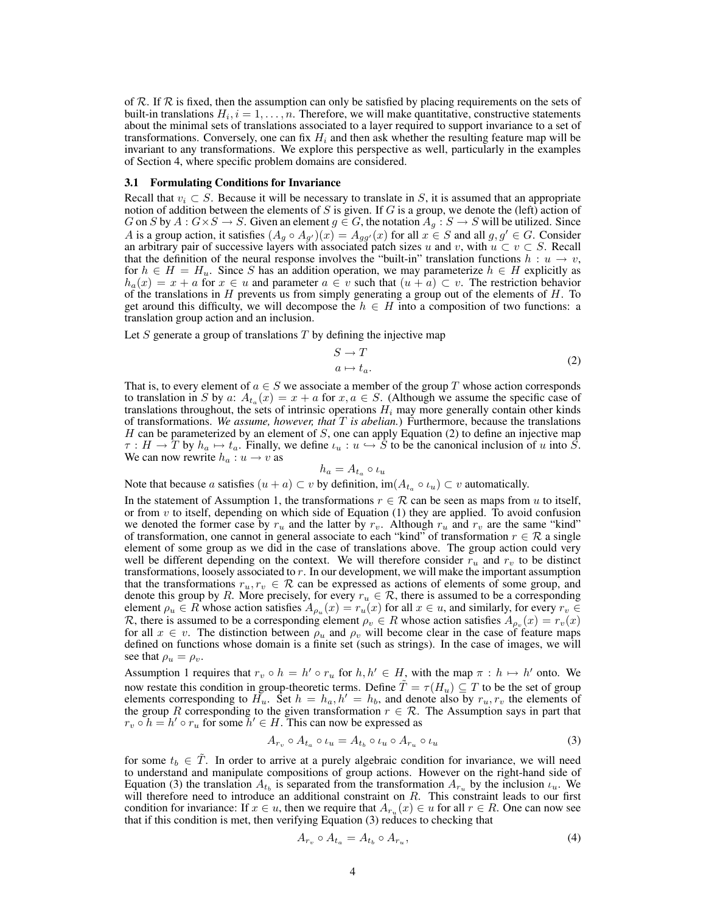of R. If R is fixed, then the assumption can only be satisfied by placing requirements on the sets of built-in translations  $H_i$ ,  $i = 1, \ldots, n$ . Therefore, we will make quantitative, constructive statements about the minimal sets of translations associated to a layer required to support invariance to a set of transformations. Conversely, one can fix  $H_i$  and then ask whether the resulting feature map will be invariant to any transformations. We explore this perspective as well, particularly in the examples of Section 4, where specific problem domains are considered.

#### 3.1 Formulating Conditions for Invariance

Recall that  $v_i \subset S$ . Because it will be necessary to translate in S, it is assumed that an appropriate notion of addition between the elements of S is given. If G is a group, we denote the (left) action of G on S by  $A: G \times S \to S$ . Given an element  $g \in G$ , the notation  $A_g: S \to S$  will be utilized. Since A is a group action, it satisfies  $(A_g \circ A_{g'}) (x) = A_{gg'}(x)$  for all  $x \in S$  and all  $g, g' \in G$ . Consider an arbitrary pair of successive layers with associated patch sizes u and v, with  $u \subset v \subset S$ . Recall that the definition of the neural response involves the "built-in" translation functions  $h: u \rightarrow v$ , for  $h \in H = H_u$ . Since S has an addition operation, we may parameterize  $h \in H$  explicitly as  $h_a(x) = x + a$  for  $x \in u$  and parameter  $a \in v$  such that  $(u + a) \subset v$ . The restriction behavior of the translations in  $H$  prevents us from simply generating a group out of the elements of  $H$ . To get around this difficulty, we will decompose the  $h \in H$  into a composition of two functions: a translation group action and an inclusion.

Let  $S$  generate a group of translations  $T$  by defining the injective map

$$
S \to T
$$
  
\n
$$
a \mapsto t_a.
$$
\n(2)

That is, to every element of  $a \in S$  we associate a member of the group T whose action corresponds to translation in S by a:  $A_{t_a}(x) = x + a$  for  $x, a \in S$ . (Although we assume the specific case of translations throughout, the sets of intrinsic operations  $H_i$  may more generally contain other kinds of transformations. *We assume, however, that* T *is abelian.*) Furthermore, because the translations H can be parameterized by an element of  $S$ , one can apply Equation (2) to define an injective map  $\tau : H \to T$  by  $h_a \mapsto t_a$ . Finally, we define  $\iota_u : u \hookrightarrow S$  to be the canonical inclusion of u into S. We can now rewrite  $h_a: u \to v$  as

$$
h_a = A_{t_a} \circ \iota_u
$$

Note that because a satisfies  $(u + a) \subset v$  by definition,  $\text{im}(A_{t_a} \circ \iota_u) \subset v$  automatically.

In the statement of Assumption 1, the transformations  $r \in \mathcal{R}$  can be seen as maps from u to itself, or from  $v$  to itself, depending on which side of Equation (1) they are applied. To avoid confusion we denoted the former case by  $r_u$  and the latter by  $r_v$ . Although  $r_u$  and  $r_v$  are the same "kind" of transformation, one cannot in general associate to each "kind" of transformation  $r \in \mathcal{R}$  a single element of some group as we did in the case of translations above. The group action could very well be different depending on the context. We will therefore consider  $r_u$  and  $r_v$  to be distinct transformations, loosely associated to r. In our development, we will make the important assumption that the transformations  $r_u, r_v \in \mathcal{R}$  can be expressed as actions of elements of some group, and denote this group by R. More precisely, for every  $r_u \in \mathcal{R}$ , there is assumed to be a corresponding element  $\rho_u \in R$  whose action satisfies  $A_{\rho_u}(x) = r_u(x)$  for all  $x \in u$ , and similarly, for every  $r_v \in R$ R, there is assumed to be a corresponding element  $\rho_v \in R$  whose action satisfies  $A_{\rho_v}(x) = r_v(x)$ for all  $x \in v$ . The distinction between  $\rho_u$  and  $\rho_v$  will become clear in the case of feature maps defined on functions whose domain is a finite set (such as strings). In the case of images, we will see that  $\rho_u = \rho_v$ .

Assumption 1 requires that  $r_v \circ h = h' \circ r_u$  for  $h, h' \in H$ , with the map  $\pi : h \mapsto h'$  onto. We now restate this condition in group-theoretic terms. Define  $\tilde{T} = \tau(H_u) \subseteq T$  to be the set of group elements corresponding to  $H_u$ . Set  $h = h_a$ ,  $h' = h_b$ , and denote also by  $r_u$ ,  $r_v$  the elements of the group R corresponding to the given transformation  $r \in \mathcal{R}$ . The Assumption says in part that  $r_v \circ h = h' \circ r_u$  for some  $h' \in H$ . This can now be expressed as

$$
A_{r_v} \circ A_{t_a} \circ \iota_u = A_{t_b} \circ \iota_u \circ A_{r_u} \circ \iota_u \tag{3}
$$

for some  $t_b \in \tilde{T}$ . In order to arrive at a purely algebraic condition for invariance, we will need to understand and manipulate compositions of group actions. However on the right-hand side of Equation (3) the translation  $A_{t_b}$  is separated from the transformation  $A_{r_u}$  by the inclusion  $\iota_u$ . We will therefore need to introduce an additional constraint on  $R$ . This constraint leads to our first condition for invariance: If  $x \in u$ , then we require that  $A_{r_u}(x) \in u$  for all  $r \in R$ . One can now see that if this condition is met, then verifying Equation (3) reduces to checking that

$$
A_{r_v} \circ A_{t_a} = A_{t_b} \circ A_{r_u},\tag{4}
$$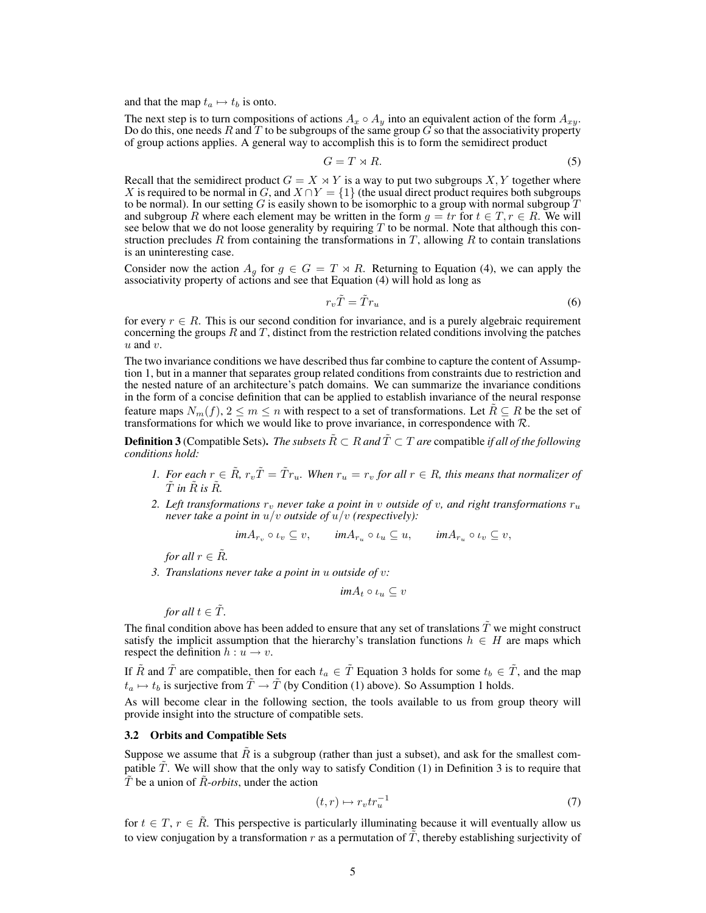and that the map  $t_a \mapsto t_b$  is onto.

The next step is to turn compositions of actions  $A_x \circ A_y$  into an equivalent action of the form  $A_{xy}$ . Do do this, one needs R and T to be subgroups of the same group G so that the associativity property of group actions applies. A general way to accomplish this is to form the semidirect product

$$
G = T \rtimes R. \tag{5}
$$

Recall that the semidirect product  $G = X \rtimes Y$  is a way to put two subgroups X, Y together where X is required to be normal in G, and  $X \cap Y = \{1\}$  (the usual direct product requires both subgroups to be normal). In our setting G is easily shown to be isomorphic to a group with normal subgroup  $T$ and subgroup R where each element may be written in the form  $g = tr$  for  $t \in T, r \in R$ . We will see below that we do not loose generality by requiring  $T$  to be normal. Note that although this construction precludes  $R$  from containing the transformations in  $T$ , allowing  $R$  to contain translations is an uninteresting case.

Consider now the action  $A_q$  for  $g \in G = T \rtimes R$ . Returning to Equation (4), we can apply the associativity property of actions and see that Equation (4) will hold as long as

$$
r_v \tilde{T} = \tilde{T} r_u \tag{6}
$$

for every  $r \in R$ . This is our second condition for invariance, and is a purely algebraic requirement concerning the groups  $R$  and  $T$ , distinct from the restriction related conditions involving the patches  $u$  and  $v$ .

The two invariance conditions we have described thus far combine to capture the content of Assumption 1, but in a manner that separates group related conditions from constraints due to restriction and the nested nature of an architecture's patch domains. We can summarize the invariance conditions in the form of a concise definition that can be applied to establish invariance of the neural response feature maps  $N_m(f)$ ,  $2 \le m \le n$  with respect to a set of transformations. Let  $R \subseteq R$  be the set of transformations for which we would like to prove invariance, in correspondence with  $R$ .

**Definition 3** (Compatible Sets). *The subsets*  $\overline{R} \subset R$  *and*  $\overline{T} \subset T$  *are* compatible *if all of the following conditions hold:*

- *1. For each*  $r \in \tilde{R}$ ,  $r_v\tilde{T} = \tilde{T}r_u$ . When  $r_u = r_v$  for all  $r \in R$ , this means that normalizer of  $\tilde{T}$  in  $\tilde{R}$  is  $\tilde{R}$ .
- 2. Left transformations  $r_v$  never take a point in v outside of v, and right transformations  $r_u$ *never take a point in* u/v *outside of* u/v *(respectively):*

$$
im A_{r_v} \circ \iota_v \subseteq v, \qquad im A_{r_u} \circ \iota_u \subseteq u, \qquad im A_{r_u} \circ \iota_v \subseteq v,
$$

*for all*  $r \in \mathbb{R}$ *.* 

*3. Translations never take a point in* u *outside of* v*:*

$$
im A_t \circ \iota_u \subseteq v
$$

*for all*  $t \in \tilde{T}$ *.* 

The final condition above has been added to ensure that any set of translations  $\tilde{T}$  we might construct satisfy the implicit assumption that the hierarchy's translation functions  $h \in H$  are maps which respect the definition  $h: u \rightarrow v$ .

If  $\tilde{R}$  and  $\tilde{T}$  are compatible, then for each  $t_a \in \tilde{T}$  Equation 3 holds for some  $t_b \in \tilde{T}$ , and the map  $t_a \mapsto t_b$  is surjective from  $\tilde{T} \to \tilde{T}$  (by Condition (1) above). So Assumption 1 holds.

As will become clear in the following section, the tools available to us from group theory will provide insight into the structure of compatible sets.

#### 3.2 Orbits and Compatible Sets

Suppose we assume that  $R$  is a subgroup (rather than just a subset), and ask for the smallest compatible  $\tilde{T}$ . We will show that the only way to satisfy Condition (1) in Definition 3 is to require that  $\overline{T}$  be a union of  $\overline{R}$ -*orbits*, under the action

$$
(t,r) \mapsto r_v t r_u^{-1} \tag{7}
$$

for  $t \in T$ ,  $r \in \tilde{R}$ . This perspective is particularly illuminating because it will eventually allow us to view conjugation by a transformation r as a permutation of  $\tilde{T}$ , thereby establishing surjectivity of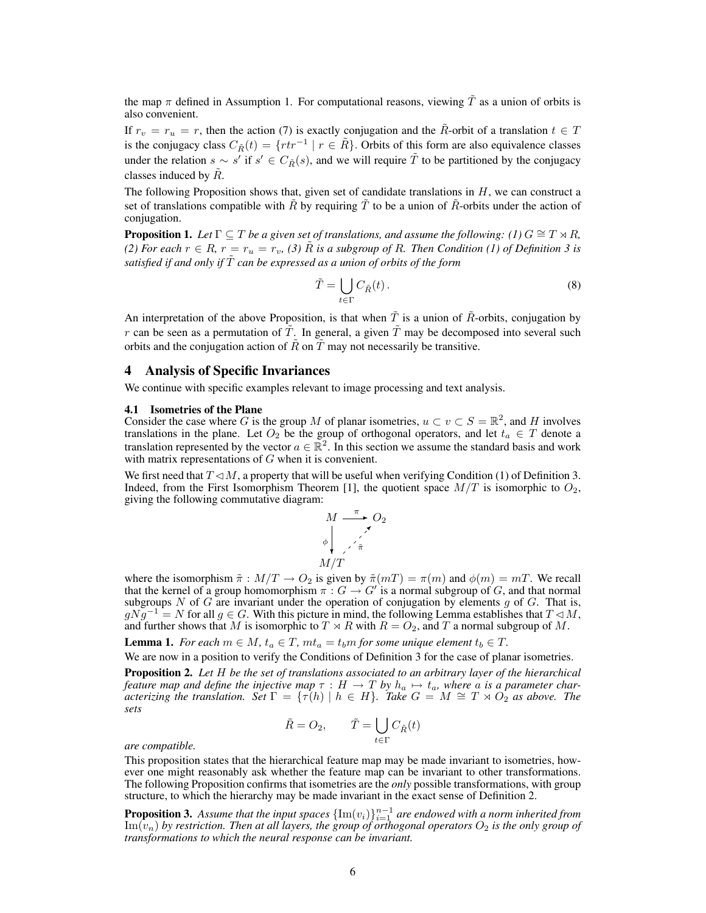the map  $\pi$  defined in Assumption 1. For computational reasons, viewing  $\tilde{T}$  as a union of orbits is also convenient.

If  $r_v = r_u = r$ , then the action (7) is exactly conjugation and the  $\tilde{R}$ -orbit of a translation  $t \in T$ is the conjugacy class  $C_{\tilde{R}}(t) = \{rtr^{-1} \mid r \in \tilde{R}\}$ . Orbits of this form are also equivalence classes under the relation  $s \sim s'$  if  $s' \in C_{\tilde{R}}(s)$ , and we will require  $\tilde{T}$  to be partitioned by the conjugacy classes induced by  $R$ .

The following Proposition shows that, given set of candidate translations in  $H$ , we can construct a set of translations compatible with  $\tilde{R}$  by requiring  $\tilde{T}$  to be a union of  $\tilde{R}$ -orbits under the action of conjugation.

**Proposition 1.** *Let*  $\Gamma \subseteq T$  *be a given set of translations, and assume the following: (1)*  $G \cong T \rtimes R$ , *(2) For each*  $r \in R$ ,  $r = r_u = r_v$ , *(3)*  $\hat{R}$  *is a subgroup of*  $R$ *. Then Condition (1) of Definition 3 is satisfied if and only if*  $\tilde{T}$  *can be expressed as a union of orbits of the form* 

$$
\tilde{T} = \bigcup_{t \in \Gamma} C_{\tilde{R}}(t). \tag{8}
$$

An interpretation of the above Proposition, is that when  $\tilde{T}$  is a union of  $\tilde{R}$ -orbits, conjugation by r can be seen as a permutation of  $\tilde{T}$ . In general, a given  $\tilde{T}$  may be decomposed into several such orbits and the conjugation action of  $\tilde{R}$  on  $\tilde{T}$  may not necessarily be transitive.

## 4 Analysis of Specific Invariances

We continue with specific examples relevant to image processing and text analysis.

#### 4.1 Isometries of the Plane

Consider the case where G is the group M of planar isometries,  $u \subset v \subset S = \mathbb{R}^2$ , and H involves translations in the plane. Let  $O_2$  be the group of orthogonal operators, and let  $t_a \in T$  denote a translation represented by the vector  $a \in \mathbb{R}^2$ . In this section we assume the standard basis and work with matrix representations of  $G$  when it is convenient.

We first need that  $T \triangleleft M$ , a property that will be useful when verifying Condition (1) of Definition 3. Indeed, from the First Isomorphism Theorem [1], the quotient space  $M/T$  is isomorphic to  $O_2$ , giving the following commutative diagram:

$$
M \xrightarrow{\pi} O_2
$$
\n
$$
\phi \downarrow \qquad \qquad \nearrow
$$
\n
$$
M/T
$$

where the isomorphism  $\tilde{\pi}: M/T \to O_2$  is given by  $\tilde{\pi}(mT) = \pi(m)$  and  $\phi(m) = mT$ . We recall that the kernel of a group homomorphism  $\pi: G \to G'$  is a normal subgroup of G, and that normal subgroups N of G are invariant under the operation of conjugation by elements  $g$  of  $G$ . That is,  $gNg^{-1} = N$  for all  $g \in G$ . With this picture in mind, the following Lemma establishes that  $T \lhd M$ , and further shows that M is isomorphic to  $T \rtimes R$  with  $R = O_2$ , and T a normal subgroup of M.

**Lemma 1.** *For each*  $m \in M$ ,  $t_a \in T$ ,  $mt_a = t_b m$  *for some unique element*  $t_b \in T$ .

We are now in a position to verify the Conditions of Definition 3 for the case of planar isometries.

Proposition 2. *Let* H *be the set of translations associated to an arbitrary layer of the hierarchical* feature map and define the injective map  $\tau : H \to T$  by  $h_a \mapsto t_a$ , where a is a parameter char-<br>acterizing the translation. Set  $\Gamma = {\{\tau(h) | h \in H\}}$ . Take  $G = M \cong T \rtimes O_2$  as above. The *sets*

$$
\tilde{R} = O_2, \qquad \tilde{T} = \bigcup_{t \in \Gamma} C_{\tilde{R}}(t)
$$

*are compatible.*

This proposition states that the hierarchical feature map may be made invariant to isometries, however one might reasonably ask whether the feature map can be invariant to other transformations. The following Proposition confirms that isometries are the *only* possible transformations, with group structure, to which the hierarchy may be made invariant in the exact sense of Definition 2.

**Proposition 3.** Assume that the input spaces  $\{\text{Im}(v_i)\}_{i=1}^{n-1}$  are endowed with a norm inherited from  $\text{Im}(v_n)$  by restriction. Then at all layers, the group of orthogonal operators  $O_2$  is the only group of *transformations to which the neural response can be invariant.*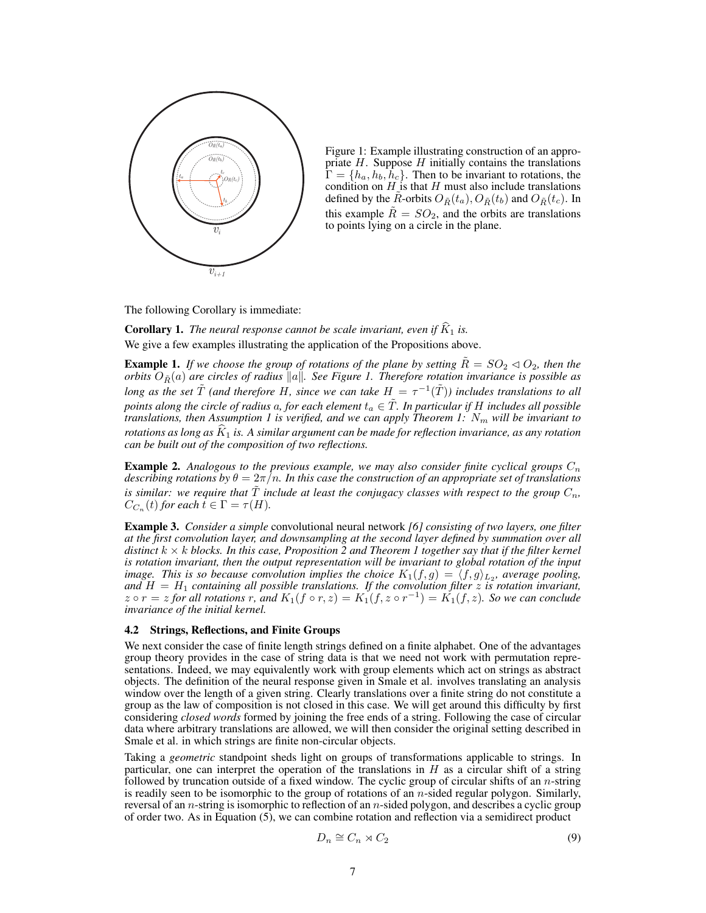

Figure 1: Example illustrating construction of an appropriate  $H$ . Suppose  $H$  initially contains the translations  $\Gamma = \{h_a, h_b, h_c\}$ . Then to be invariant to rotations, the condition on  $H_{\mathcal{A}}$  is that H must also include translations defined by the R-orbits  $O_{\tilde{R}}(t_a)$ ,  $O_{\tilde{R}}(t_b)$  and  $O_{\tilde{R}}(t_c)$ . In this example  $\tilde{R} = SO_2$ , and the orbits are translations to points lying on a circle in the plane.

The following Corollary is immediate:

**Corollary 1.** *The neural response cannot be scale invariant, even if*  $\widehat{K}_1$  *is.* We give a few examples illustrating the application of the Propositions above.

**Example 1.** *If we choose the group of rotations of the plane by setting*  $\tilde{R} = SO_2 \triangleleft O_2$ *, then the orbits*  $O_{\tilde{R}}(a)$  *are circles of radius*  $\|a\|$ . See Figure 1. Therefore rotation invariance is possible as *long as the set*  $\tilde{T}$  *(and therefore H, since we can take H =*  $\tau^{-1}(\tilde{T})$ *) includes translations to all*  $p$ oints along the circle of radius  $a$ , for each element  $t_a \in \tilde{T}$ . In particular if  $H$  includes all possible *translations, then Assumption 1 is verified, and we can apply Theorem 1:* N<sup>m</sup> *will be invariant to rotations as long as*  $K_1$  *is. A similar argument can be made for reflection invariance, as any rotation can be built out of the composition of two reflections.*

**Example 2.** Analogous to the previous example, we may also consider finite cyclical groups  $C_n$ *describing rotations by*  $\theta = 2\pi/n$ *. In this case the construction of an appropriate set of translations is similar: we require that*  $\tilde{T}$  *include at least the conjugacy classes with respect to the group*  $C_n$ ,  $C_{C_n}(t)$  for each  $\overline{t} \in \Gamma = \tau(H)$ .

Example 3. *Consider a simple* convolutional neural network *[6] consisting of two layers, one filter at the first convolution layer, and downsampling at the second layer defined by summation over all distinct* k × k *blocks. In this case, Proposition 2 and Theorem 1 together say that if the filter kernel is rotation invariant, then the output representation will be invariant to global rotation of the input image. This is so because convolution implies the choice*  $K_1(f,g) = \langle f, g \rangle_{L_2}$ , average pooling, *and* H = H<sup>1</sup> *containing all possible translations. If the convolution filter* z *is rotation invariant,*  $z \circ r = z$  for all rotations r, and  $K_1(f \circ r, z) = K_1(f, z \circ r^{-1}) = K_1(f, z)$ *. So we can conclude invariance of the initial kernel.*

## 4.2 Strings, Reflections, and Finite Groups

We next consider the case of finite length strings defined on a finite alphabet. One of the advantages group theory provides in the case of string data is that we need not work with permutation representations. Indeed, we may equivalently work with group elements which act on strings as abstract objects. The definition of the neural response given in Smale et al. involves translating an analysis window over the length of a given string. Clearly translations over a finite string do not constitute a group as the law of composition is not closed in this case. We will get around this difficulty by first considering *closed words* formed by joining the free ends of a string. Following the case of circular data where arbitrary translations are allowed, we will then consider the original setting described in Smale et al. in which strings are finite non-circular objects.

Taking a *geometric* standpoint sheds light on groups of transformations applicable to strings. In particular, one can interpret the operation of the translations in  $H$  as a circular shift of a string followed by truncation outside of a fixed window. The cyclic group of circular shifts of an *n*-string is readily seen to be isomorphic to the group of rotations of an n-sided regular polygon. Similarly, reversal of an n-string is isomorphic to reflection of an n-sided polygon, and describes a cyclic group of order two. As in Equation (5), we can combine rotation and reflection via a semidirect product

$$
D_n \cong C_n \rtimes C_2 \tag{9}
$$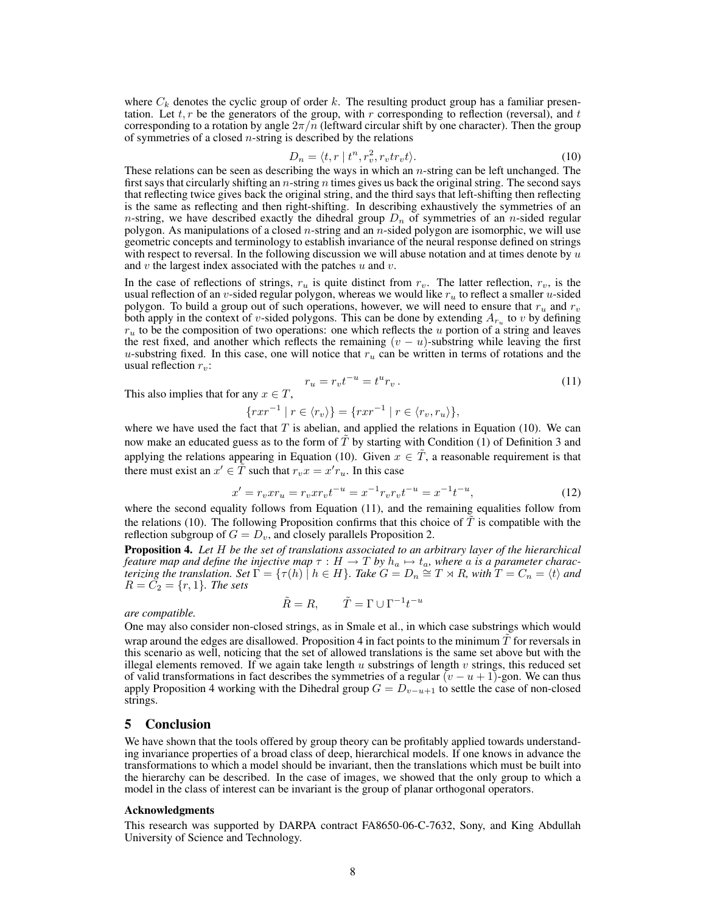where  $C_k$  denotes the cyclic group of order k. The resulting product group has a familiar presentation. Let  $t, r$  be the generators of the group, with r corresponding to reflection (reversal), and  $t$ corresponding to a rotation by angle  $2\pi/n$  (leftward circular shift by one character). Then the group of symmetries of a closed  $n$ -string is described by the relations

$$
D_n = \langle t, r \mid t^n, r_v^2, r_v t r_v t \rangle. \tag{10}
$$

These relations can be seen as describing the ways in which an  $n$ -string can be left unchanged. The first says that circularly shifting an  $n$ -string  $n$  times gives us back the original string. The second says that reflecting twice gives back the original string, and the third says that left-shifting then reflecting is the same as reflecting and then right-shifting. In describing exhaustively the symmetries of an n-string, we have described exactly the dihedral group  $D_n$  of symmetries of an n-sided regular polygon. As manipulations of a closed *n*-string and an *n*-sided polygon are isomorphic, we will use geometric concepts and terminology to establish invariance of the neural response defined on strings with respect to reversal. In the following discussion we will abuse notation and at times denote by  $u$ and  $v$  the largest index associated with the patches  $u$  and  $v$ .

In the case of reflections of strings,  $r_u$  is quite distinct from  $r_v$ . The latter reflection,  $r_v$ , is the usual reflection of an v-sided regular polygon, whereas we would like  $r_u$  to reflect a smaller u-sided polygon. To build a group out of such operations, however, we will need to ensure that  $r_u$  and  $r_v$ both apply in the context of v-sided polygons. This can be done by extending  $A_{r_u}$  to v by defining  $r<sub>u</sub>$  to be the composition of two operations: one which reflects the u portion of a string and leaves the rest fixed, and another which reflects the remaining  $(v - u)$ -substring while leaving the first u-substring fixed. In this case, one will notice that  $r_u$  can be written in terms of rotations and the usual reflection  $r_v$ :

This also implies that for any 
$$
x \in T
$$
,  
\n
$$
r_u = r_v t^{-u} = t^u r_v.
$$
\n(11)

$$
\{r x r^{-1} \mid r \in \langle r_v \rangle\} = \{r x r^{-1} \mid r \in \langle r_v, r_u \rangle\},\
$$

where we have used the fact that  $T$  is abelian, and applied the relations in Equation (10). We can now make an educated guess as to the form of  $T$  by starting with Condition (1) of Definition 3 and applying the relations appearing in Equation (10). Given  $x \in \tilde{T}$ , a reasonable requirement is that there must exist an  $x' \in \tilde{T}$  such that  $r_v x = x' r_u$ . In this case

$$
x' = r_v x r_u = r_v x r_v t^{-u} = x^{-1} r_v r_v t^{-u} = x^{-1} t^{-u},
$$
\n(12)

 $-u$ 

where the second equality follows from Equation (11), and the remaining equalities follow from the relations (10). The following Proposition confirms that this choice of  $T$  is compatible with the reflection subgroup of  $G = D_v$ , and closely parallels Proposition 2.

Proposition 4. *Let* H *be the set of translations associated to an arbitrary layer of the hierarchical feature map and define the injective map*  $\tau : H \to T$  *by*  $h_a \mapsto t_a$ *, where a is a parameter characterizing the translation.* Set  $\Gamma = \{\tau(h) \mid h \in H\}$ . Take  $G = D_n \cong T \rtimes R$ , with  $T = C_n = \langle t \rangle$  and  $R = \tilde{C}_2 = \{r, 1\}$ *. The sets* 

$$
\tilde{R} = R, \qquad \tilde{T} = \Gamma \cup \Gamma^{-1} t
$$

#### *are compatible.*

One may also consider non-closed strings, as in Smale et al., in which case substrings which would wrap around the edges are disallowed. Proposition 4 in fact points to the minimum  $\hat{T}$  for reversals in this scenario as well, noticing that the set of allowed translations is the same set above but with the illegal elements removed. If we again take length  $u$  substrings of length  $v$  strings, this reduced set of valid transformations in fact describes the symmetries of a regular  $(v - u + 1)$ -gon. We can thus apply Proposition 4 working with the Dihedral group  $G = D_{v-u+1}$  to settle the case of non-closed strings.

## 5 Conclusion

We have shown that the tools offered by group theory can be profitably applied towards understanding invariance properties of a broad class of deep, hierarchical models. If one knows in advance the transformations to which a model should be invariant, then the translations which must be built into the hierarchy can be described. In the case of images, we showed that the only group to which a model in the class of interest can be invariant is the group of planar orthogonal operators.

#### Acknowledgments

This research was supported by DARPA contract FA8650-06-C-7632, Sony, and King Abdullah University of Science and Technology.